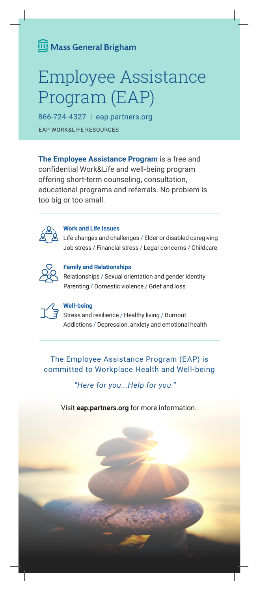# Mass General Brigham

# Employee Assistance Program (EAP)

866-724-4327 | eap.partners.org EAP WORK&LIFE RESOURCES

**The Employee Assistance Program** is a free and confidential Work&Life and well-being program offering short-term counseling, consultation, educational programs and referrals. No problem is too big or too small.



### **Work and Life Issues**

Life changes and challenges / Elder or disabled caregiving Job stress / Financial stress / Legal concerns / Childcare



#### **Family and Relationships**

Relationships / Sexual orientation and gender identity Parenting / Domestic violence / Grief and loss



#### **Well-being**

Stress and resilience / Healthy living / Burnout Addictions / Depression, anxiety and emotional health

The Employee Assistance Program (EAP) is committed to Workplace Health and Well-being

*"Here for you...Help for you."*

Visit **eap.partners.org** for more information.